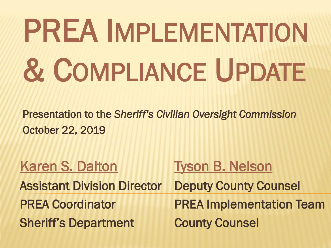### PREA IMPLEMENTATION & COMPLIANCE UPDATE

Presentation to the *Sheriff's Civilian Oversight Commission* October 22, 2019

| <b>Karen S. Dalton</b>             | <b>Tyson B. Nelson</b>          |
|------------------------------------|---------------------------------|
| <b>Assistant Division Director</b> | <b>Deputy County Counsel</b>    |
| <b>PREA Coordinator</b>            | <b>PREA Implementation Team</b> |
| <b>Sheriff's Department</b>        | <b>County Counsel</b>           |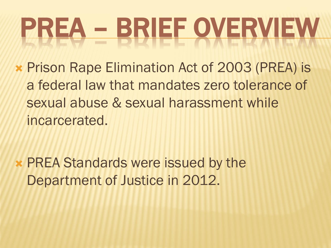#### PREA – BRIEF OVERVIEW

 Prison Rape Elimination Act of 2003 (PREA) is a federal law that mandates zero tolerance of sexual abuse & sexual harassment while incarcerated.

 PREA Standards were issued by the Department of Justice in 2012.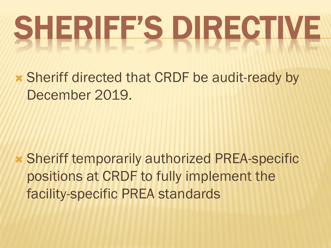# SHERIEES DIRECTIVE

 Sheriff directed that CRDF be audit-ready by December 2019.

 Sheriff temporarily authorized PREA-specific positions at CRDF to fully implement the facility-specific PREA standards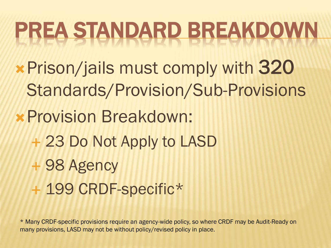#### PREA STANDARD BREAKDOWN

- Prison/jails must comply with 320 Standards/Provision/Sub-Provisions
- Provision Breakdown:
	- 23 Do Not Apply to LASD
	- 98 Agency
	- + 199 CRDF-specific\*

\* Many CRDF-specific provisions require an agency-wide policy, so where CRDF may be Audit-Ready on many provisions, LASD may not be without policy/revised policy in place.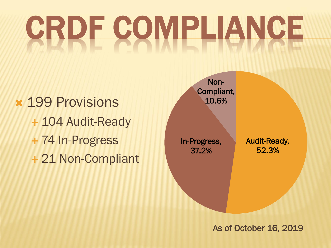## CRDE COMPLIANCE

 199 Provisions + 104 Audit-Ready 74 In-Progress 21 Non-Compliant



As of October 16, 2019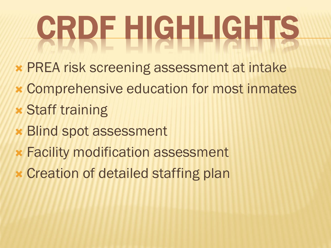# GRDE HIGHLIGHTS

- PREA risk screening assessment at intake
- Comprehensive education for most inmates
- Staff training
- Blind spot assessment
- Facility modification assessment
- Creation of detailed staffing plan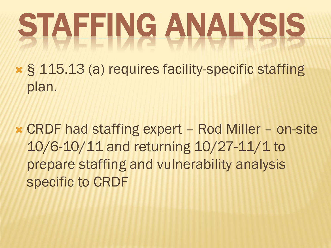## STAFFING ANALYSIS

 § 115.13 (a) requires facility-specific staffing plan.

 CRDF had staffing expert – Rod Miller – on-site 10/6-10/11 and returning 10/27-11/1 to prepare staffing and vulnerability analysis specific to CRDF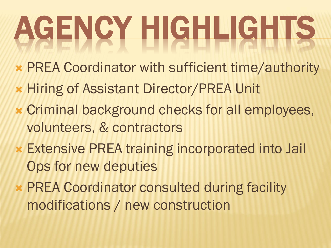# AGENCY HIGHLIGHTS

- PREA Coordinator with sufficient time/authority
- Hiring of Assistant Director/PREA Unit
- Criminal background checks for all employees, volunteers, & contractors
- Extensive PREA training incorporated into Jail Ops for new deputies
- PREA Coordinator consulted during facility modifications / new construction